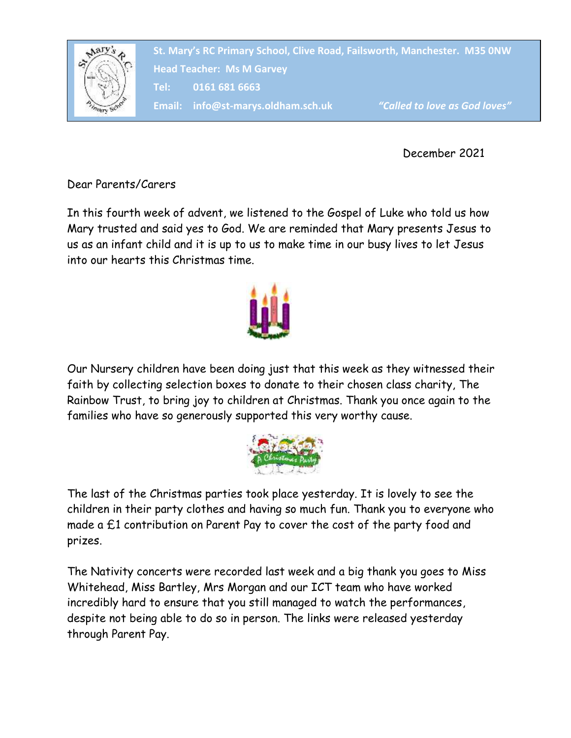

December 2021

Dear Parents/Carers

In this fourth week of advent, we listened to the Gospel of Luke who told us how Mary trusted and said yes to God. We are reminded that Mary presents Jesus to us as an infant child and it is up to us to make time in our busy lives to let Jesus into our hearts this Christmas time.



Our Nursery children have been doing just that this week as they witnessed their faith by collecting selection boxes to donate to their chosen class charity, The Rainbow Trust, to bring joy to children at Christmas. Thank you once again to the families who have so generously supported this very worthy cause.



The last of the Christmas parties took place yesterday. It is lovely to see the children in their party clothes and having so much fun. Thank you to everyone who made a £1 contribution on Parent Pay to cover the cost of the party food and prizes.

The Nativity concerts were recorded last week and a big thank you goes to Miss Whitehead, Miss Bartley, Mrs Morgan and our ICT team who have worked incredibly hard to ensure that you still managed to watch the performances, despite not being able to do so in person. The links were released yesterday through Parent Pay.